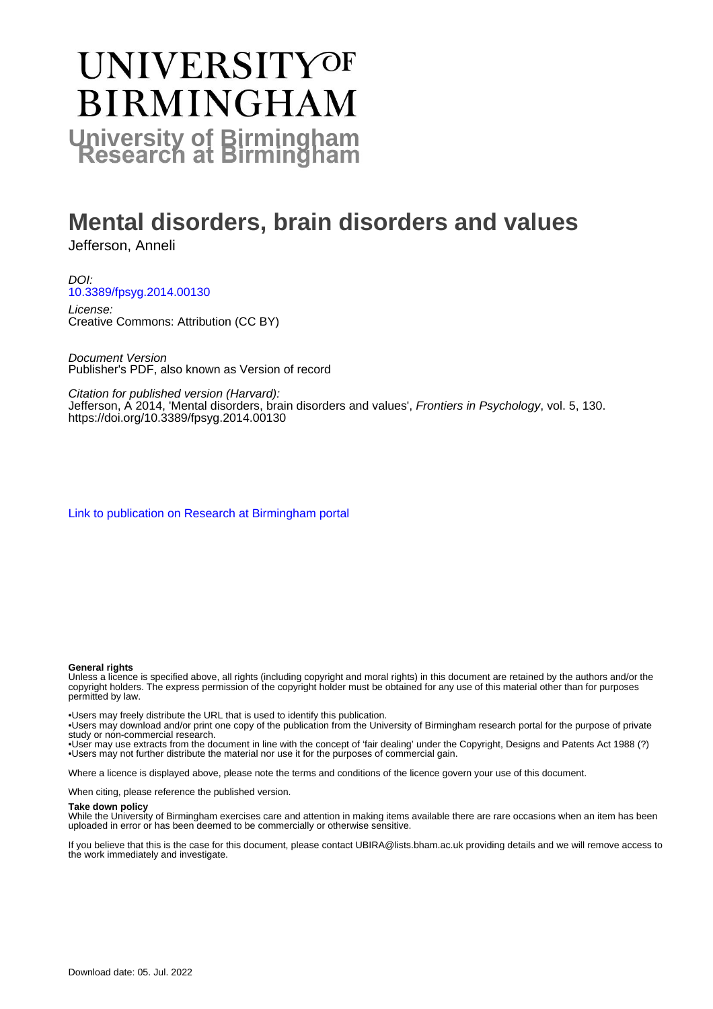# **UNIVERSITYOF BIRMINGHAM University of Birmingham**

# **Mental disorders, brain disorders and values**

Jefferson, Anneli

DOI: [10.3389/fpsyg.2014.00130](https://doi.org/10.3389/fpsyg.2014.00130)

License: Creative Commons: Attribution (CC BY)

Document Version Publisher's PDF, also known as Version of record

Citation for published version (Harvard):

Jefferson, A 2014, 'Mental disorders, brain disorders and values', Frontiers in Psychology, vol. 5, 130. <https://doi.org/10.3389/fpsyg.2014.00130>

[Link to publication on Research at Birmingham portal](https://birmingham.elsevierpure.com/en/publications/24f6ce53-2f1f-4b96-8bf9-61bd4980703a)

#### **General rights**

Unless a licence is specified above, all rights (including copyright and moral rights) in this document are retained by the authors and/or the copyright holders. The express permission of the copyright holder must be obtained for any use of this material other than for purposes permitted by law.

• Users may freely distribute the URL that is used to identify this publication.

• Users may download and/or print one copy of the publication from the University of Birmingham research portal for the purpose of private study or non-commercial research.

• User may use extracts from the document in line with the concept of 'fair dealing' under the Copyright, Designs and Patents Act 1988 (?) • Users may not further distribute the material nor use it for the purposes of commercial gain.

Where a licence is displayed above, please note the terms and conditions of the licence govern your use of this document.

When citing, please reference the published version.

#### **Take down policy**

While the University of Birmingham exercises care and attention in making items available there are rare occasions when an item has been uploaded in error or has been deemed to be commercially or otherwise sensitive.

If you believe that this is the case for this document, please contact UBIRA@lists.bham.ac.uk providing details and we will remove access to the work immediately and investigate.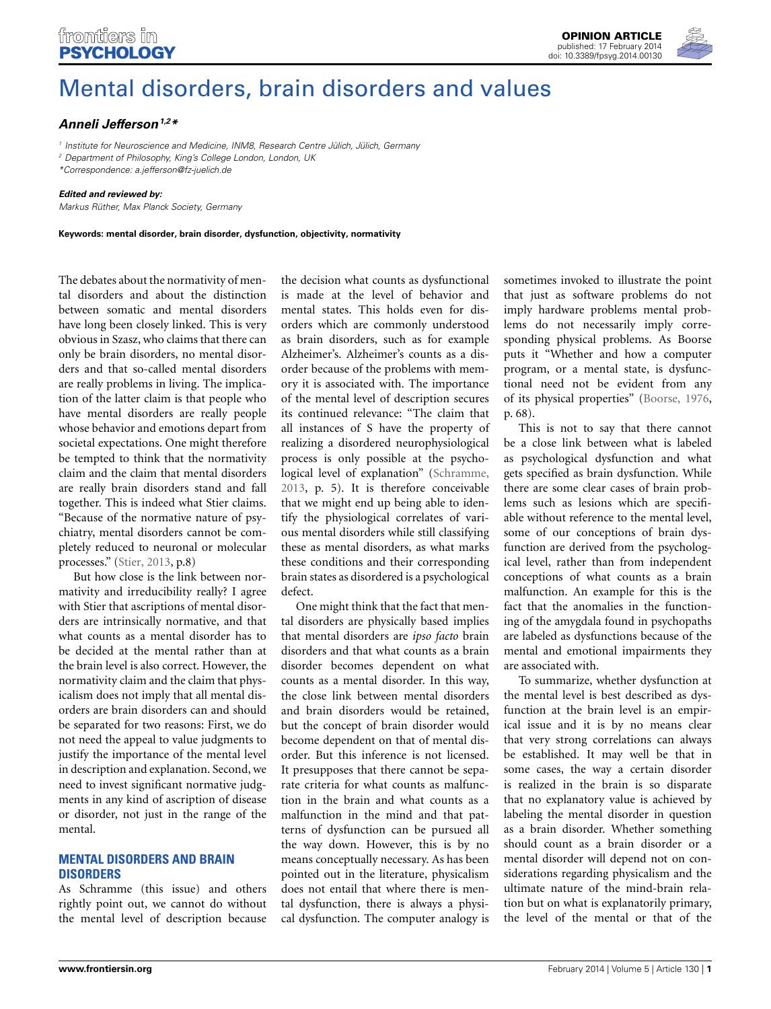# frontiers in **PSYCHOLOGY**

**[OPINION ARTICLE](http://www.frontiersin.org/Psychology/editorialboard)** [published: 17 February 2014](http://www.frontiersin.org/Psychology/editorialboard) [doi: 10.3389/fpsyg.2014.00130](http://www.frontiersin.org/Psychology/editorialboard)



# [Mental disorders, brain disorders and values](http://www.frontiersin.org/journal/10.3389/fpsyg.2014.00130/full)

# *[Anneli Jefferson](http://community.frontiersin.org/people/u/97018)1,2\**

*<sup>1</sup> Institute for Neuroscience and Medicine, INM8, Research Centre Jülich, Jülich, Germany*

*<sup>2</sup> Department of Philosophy, King's College London, London, UK*

*\*Correspondence: a.jefferson@fz-juelich.de*

#### *Edited and reviewed by:*

*Markus Rüther, Max Planck Society, Germany*

**Keywords: mental disorder, brain disorder, dysfunction, objectivity, normativity**

The debates about the normativity of mental disorders and about the distinction between somatic and mental disorders have long been closely linked. This is very obvious in Szasz, who claims that there can only be brain disorders, no mental disorders and that so-called mental disorders are really problems in living. The implication of the latter claim is that people who have mental disorders are really people whose behavior and emotions depart from societal expectations. One might therefore be tempted to think that the normativity claim and the claim that mental disorders are really brain disorders stand and fall together. This is indeed what Stier claims. "Because of the normative nature of psychiatry, mental disorders cannot be completely reduced to neuronal or molecular processes." [\(Stier, 2013,](#page-3-0) p.8)

But how close is the link between normativity and irreducibility really? I agree with Stier that ascriptions of mental disorders are intrinsically normative, and that what counts as a mental disorder has to be decided at the mental rather than at the brain level is also correct. However, the normativity claim and the claim that physicalism does not imply that all mental disorders are brain disorders can and should be separated for two reasons: First, we do not need the appeal to value judgments to justify the importance of the mental level in description and explanation. Second, we need to invest significant normative judgments in any kind of ascription of disease or disorder, not just in the range of the mental.

# **MENTAL DISORDERS AND BRAIN DISORDERS**

As Schramme (this issue) and others rightly point out, we cannot do without the mental level of description because

the decision what counts as dysfunctional is made at the level of behavior and mental states. This holds even for disorders which are commonly understood as brain disorders, such as for example Alzheimer's. Alzheimer's counts as a disorder because of the problems with memory it is associated with. The importance of the mental level of description secures its continued relevance: "The claim that all instances of S have the property of realizing a disordered neurophysiological process is only possible at the psychological level of explanation" [\(Schramme,](#page-3-1) [2013](#page-3-1), p. 5). It is therefore conceivable that we might end up being able to identify the physiological correlates of various mental disorders while still classifying these as mental disorders, as what marks these conditions and their corresponding brain states as disordered is a psychological defect.

One might think that the fact that mental disorders are physically based implies that mental disorders are *ipso facto* brain disorders and that what counts as a brain disorder becomes dependent on what counts as a mental disorder. In this way, the close link between mental disorders and brain disorders would be retained, but the concept of brain disorder would become dependent on that of mental disorder. But this inference is not licensed. It presupposes that there cannot be separate criteria for what counts as malfunction in the brain and what counts as a malfunction in the mind and that patterns of dysfunction can be pursued all the way down. However, this is by no means conceptually necessary. As has been pointed out in the literature, physicalism does not entail that where there is mental dysfunction, there is always a physical dysfunction. The computer analogy is

sometimes invoked to illustrate the point that just as software problems do not imply hardware problems mental problems do not necessarily imply corresponding physical problems. As Boorse puts it "Whether and how a computer program, or a mental state, is dysfunctional need not be evident from any of its physical properties" [\(Boorse](#page-2-0), [1976,](#page-2-0) p. 68).

This is not to say that there cannot be a close link between what is labeled as psychological dysfunction and what gets specified as brain dysfunction. While there are some clear cases of brain problems such as lesions which are specifiable without reference to the mental level, some of our conceptions of brain dysfunction are derived from the psychological level, rather than from independent conceptions of what counts as a brain malfunction. An example for this is the fact that the anomalies in the functioning of the amygdala found in psychopaths are labeled as dysfunctions because of the mental and emotional impairments they are associated with.

To summarize, whether dysfunction at the mental level is best described as dysfunction at the brain level is an empirical issue and it is by no means clear that very strong correlations can always be established. It may well be that in some cases, the way a certain disorder is realized in the brain is so disparate that no explanatory value is achieved by labeling the mental disorder in question as a brain disorder. Whether something should count as a brain disorder or a mental disorder will depend not on considerations regarding physicalism and the ultimate nature of the mind-brain relation but on what is explanatorily primary, the level of the mental or that of the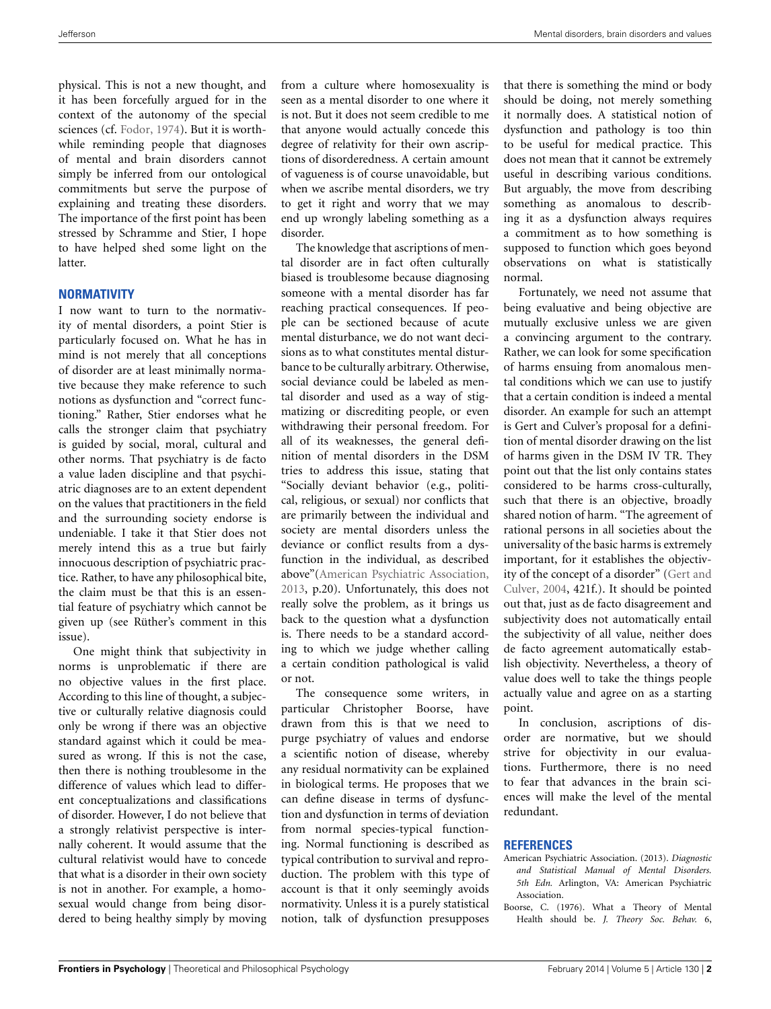physical. This is not a new thought, and it has been forcefully argued for in the context of the autonomy of the special sciences (cf. [Fodor, 1974\)](#page-3-2). But it is worthwhile reminding people that diagnoses of mental and brain disorders cannot simply be inferred from our ontological commitments but serve the purpose of explaining and treating these disorders. The importance of the first point has been stressed by Schramme and Stier, I hope to have helped shed some light on the latter.

## **NORMATIVITY**

I now want to turn to the normativity of mental disorders, a point Stier is particularly focused on. What he has in mind is not merely that all conceptions of disorder are at least minimally normative because they make reference to such notions as dysfunction and "correct functioning." Rather, Stier endorses what he calls the stronger claim that psychiatry is guided by social, moral, cultural and other norms. That psychiatry is de facto a value laden discipline and that psychiatric diagnoses are to an extent dependent on the values that practitioners in the field and the surrounding society endorse is undeniable. I take it that Stier does not merely intend this as a true but fairly innocuous description of psychiatric practice. Rather, to have any philosophical bite, the claim must be that this is an essential feature of psychiatry which cannot be given up (see Rüther's comment in this issue).

One might think that subjectivity in norms is unproblematic if there are no objective values in the first place. According to this line of thought, a subjective or culturally relative diagnosis could only be wrong if there was an objective standard against which it could be measured as wrong. If this is not the case, then there is nothing troublesome in the difference of values which lead to different conceptualizations and classifications of disorder. However, I do not believe that a strongly relativist perspective is internally coherent. It would assume that the cultural relativist would have to concede that what is a disorder in their own society is not in another. For example, a homosexual would change from being disordered to being healthy simply by moving from a culture where homosexuality is seen as a mental disorder to one where it is not. But it does not seem credible to me that anyone would actually concede this degree of relativity for their own ascriptions of disorderedness. A certain amount of vagueness is of course unavoidable, but when we ascribe mental disorders, we try to get it right and worry that we may end up wrongly labeling something as a disorder.

The knowledge that ascriptions of mental disorder are in fact often culturally biased is troublesome because diagnosing someone with a mental disorder has far reaching practical consequences. If people can be sectioned because of acute mental disturbance, we do not want decisions as to what constitutes mental disturbance to be culturally arbitrary. Otherwise, social deviance could be labeled as mental disorder and used as a way of stigmatizing or discrediting people, or even withdrawing their personal freedom. For all of its weaknesses, the general definition of mental disorders in the DSM tries to address this issue, stating that "Socially deviant behavior (e.g., political, religious, or sexual) nor conflicts that are primarily between the individual and society are mental disorders unless the deviance or conflict results from a dysfunction in the individual, as described above"[\(American Psychiatric Association](#page-2-1), [2013](#page-2-1), p.20). Unfortunately, this does not really solve the problem, as it brings us back to the question what a dysfunction is. There needs to be a standard according to which we judge whether calling a certain condition pathological is valid or not.

The consequence some writers, in particular Christopher Boorse, have drawn from this is that we need to purge psychiatry of values and endorse a scientific notion of disease, whereby any residual normativity can be explained in biological terms. He proposes that we can define disease in terms of dysfunction and dysfunction in terms of deviation from normal species-typical functioning. Normal functioning is described as typical contribution to survival and reproduction. The problem with this type of account is that it only seemingly avoids normativity. Unless it is a purely statistical notion, talk of dysfunction presupposes

that there is something the mind or body should be doing, not merely something it normally does. A statistical notion of dysfunction and pathology is too thin to be useful for medical practice. This does not mean that it cannot be extremely useful in describing various conditions. But arguably, the move from describing something as anomalous to describing it as a dysfunction always requires a commitment as to how something is supposed to function which goes beyond observations on what is statistically normal.

Fortunately, we need not assume that being evaluative and being objective are mutually exclusive unless we are given a convincing argument to the contrary. Rather, we can look for some specification of harms ensuing from anomalous mental conditions which we can use to justify that a certain condition is indeed a mental disorder. An example for such an attempt is Gert and Culver's proposal for a definition of mental disorder drawing on the list of harms given in the DSM IV TR. They point out that the list only contains states considered to be harms cross-culturally, such that there is an objective, broadly shared notion of harm. "The agreement of rational persons in all societies about the universality of the basic harms is extremely important, for it establishes the objectivity of [the concept of a disorder" \(](#page-3-3)Gert and Culver, [2004,](#page-3-3) 421f.). It should be pointed out that, just as de facto disagreement and subjectivity does not automatically entail the subjectivity of all value, neither does de facto agreement automatically establish objectivity. Nevertheless, a theory of value does well to take the things people actually value and agree on as a starting point.

In conclusion, ascriptions of disorder are normative, but we should strive for objectivity in our evaluations. Furthermore, there is no need to fear that advances in the brain sciences will make the level of the mental redundant.

### **REFERENCES**

- <span id="page-2-1"></span>American Psychiatric Association. (2013). *Diagnostic and Statistical Manual of Mental Disorders. 5th Edn.* Arlington, VA: American Psychiatric Association.
- <span id="page-2-0"></span>Boorse, C. (1976). What a Theory of Mental Health should be. *J. Theory Soc. Behav.* 6,